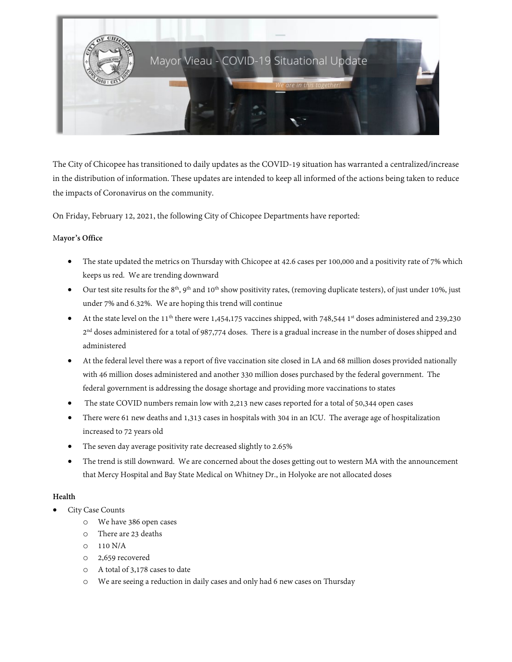

The City of Chicopee has transitioned to daily updates as the COVID-19 situation has warranted a centralized/increase in the distribution of information. These updates are intended to keep all informed of the actions being taken to reduce the impacts of Coronavirus on the community.

On Friday, February 12, 2021, the following City of Chicopee Departments have reported:

## M**ayor's Office**

- The state updated the metrics on Thursday with Chicopee at 42.6 cases per 100,000 and a positivity rate of 7% which keeps us red. We are trending downward
- Our test site results for the 8<sup>th</sup>, 9<sup>th</sup> and 10<sup>th</sup> show positivity rates, (removing duplicate testers), of just under 10%, just under 7% and 6.32%. We are hoping this trend will continue
- At the state level on the 11<sup>th</sup> there were 1,454,175 vaccines shipped, with 748,544 1<sup>st</sup> doses administered and 239,230 2<sup>nd</sup> doses administered for a total of 987,774 doses. There is a gradual increase in the number of doses shipped and administered
- At the federal level there was a report of five vaccination site closed in LA and 68 million doses provided nationally with 46 million doses administered and another 330 million doses purchased by the federal government. The federal government is addressing the dosage shortage and providing more vaccinations to states
- The state COVID numbers remain low with 2,213 new cases reported for a total of 50,344 open cases
- There were 61 new deaths and 1,313 cases in hospitals with 304 in an ICU. The average age of hospitalization increased to 72 years old
- The seven day average positivity rate decreased slightly to 2.65%
- The trend is still downward. We are concerned about the doses getting out to western MA with the announcement that Mercy Hospital and Bay State Medical on Whitney Dr., in Holyoke are not allocated doses

# **Health**

- City Case Counts
	- o We have 386 open cases
	- o There are 23 deaths
	- o 110 N/A
	- o 2,659 recovered
	- o A total of 3,178 cases to date
	- o We are seeing a reduction in daily cases and only had 6 new cases on Thursday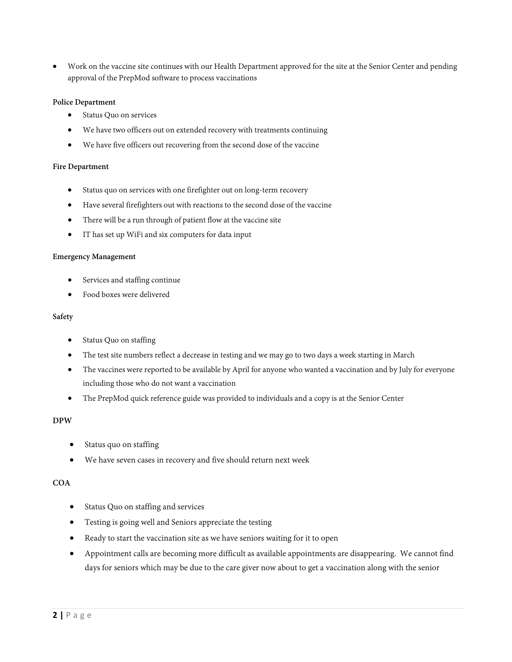• Work on the vaccine site continues with our Health Department approved for the site at the Senior Center and pending approval of the PrepMod software to process vaccinations

## **Police Department**

- Status Quo on services
- We have two officers out on extended recovery with treatments continuing
- We have five officers out recovering from the second dose of the vaccine

### **Fire Department**

- Status quo on services with one firefighter out on long-term recovery
- Have several firefighters out with reactions to the second dose of the vaccine
- There will be a run through of patient flow at the vaccine site
- IT has set up WiFi and six computers for data input

#### **Emergency Management**

- Services and staffing continue
- Food boxes were delivered

#### **Safety**

- Status Quo on staffing
- The test site numbers reflect a decrease in testing and we may go to two days a week starting in March
- The vaccines were reported to be available by April for anyone who wanted a vaccination and by July for everyone including those who do not want a vaccination
- The PrepMod quick reference guide was provided to individuals and a copy is at the Senior Center

## **DPW**

- Status quo on staffing
- We have seven cases in recovery and five should return next week

## **COA**

- Status Quo on staffing and services
- Testing is going well and Seniors appreciate the testing
- Ready to start the vaccination site as we have seniors waiting for it to open
- Appointment calls are becoming more difficult as available appointments are disappearing. We cannot find days for seniors which may be due to the care giver now about to get a vaccination along with the senior